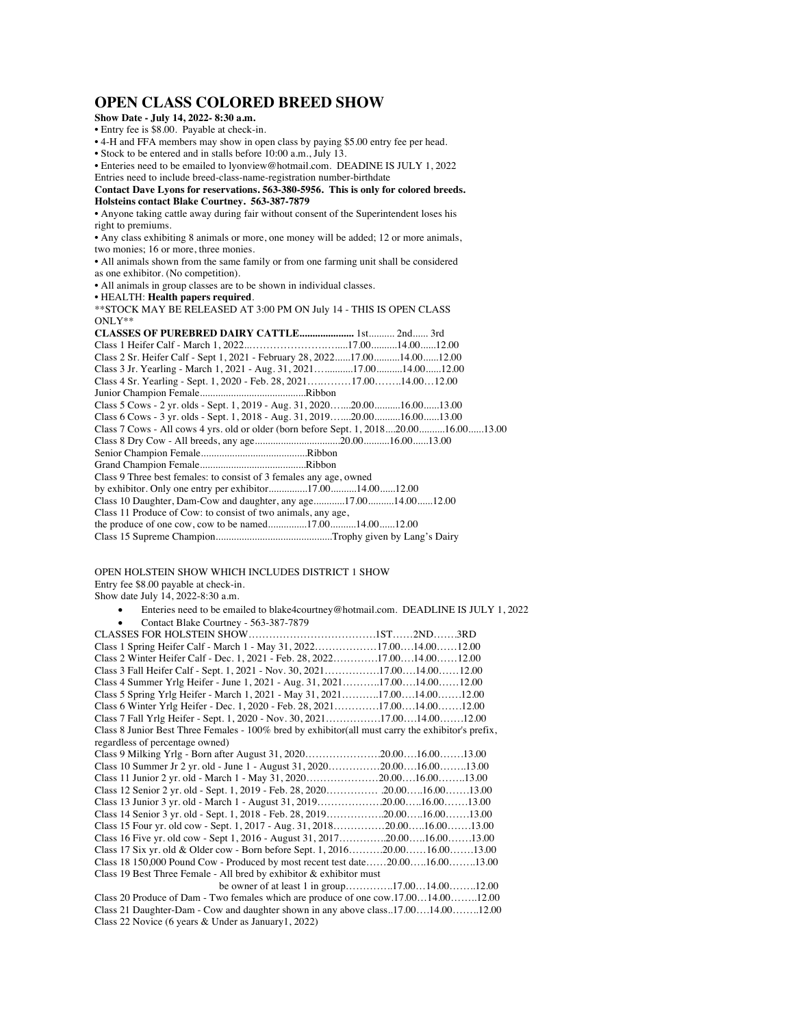## **OPEN CLASS COLORED BREED SHOW**

**Show Date - July 14, 2022- 8:30 a.m.**

• Entry fee is \$8.00. Payable at check-in. • 4-H and FFA members may show in open class by paying \$5.00 entry fee per head. • Stock to be entered and in stalls before 10:00 a.m., July 13.

• Enteries need to be emailed to lyonview@hotmail.com. DEADINE IS JULY 1, 2022

Entries need to include breed-class-name-registration number-birthdate **Contact Dave Lyons for reservations. 563-380-5956. This is only for colored breeds. Holsteins contact Blake Courtney. 563-387-7879**

• Anyone taking cattle away during fair without consent of the Superintendent loses his right to premiums.

• Any class exhibiting 8 animals or more, one money will be added; 12 or more animals, two monies; 16 or more, three monies.

• All animals shown from the same family or from one farming unit shall be considered as one exhibitor. (No competition).

• All animals in group classes are to be shown in individual classes.

• HEALTH: **Health papers required**.

\*\*STOCK MAY BE RELEASED AT 3:00 PM ON July 14 - THIS IS OPEN CLASS ONLY\*\*

| Class 2 Sr. Heifer Calf - Sept 1, 2021 - February 28, 202217.0014.0012.00                                                                                                                                                                            |  |  |
|------------------------------------------------------------------------------------------------------------------------------------------------------------------------------------------------------------------------------------------------------|--|--|
| Class 3 Jr. Yearling - March 1, 2021 - Aug. 31, 202117.0014.0012.00                                                                                                                                                                                  |  |  |
| Class 4 Sr. Yearling - Sept. 1, 2020 - Feb. 28, 202117.0014.0012.00                                                                                                                                                                                  |  |  |
|                                                                                                                                                                                                                                                      |  |  |
| Class 5 Cows - 2 yr. olds - Sept. 1, 2019 - Aug. 31, 202020.0016.0013.00                                                                                                                                                                             |  |  |
| Class 6 Cows - 3 yr. olds - Sept. 1, 2018 - Aug. 31, 201920.0016.0013.00                                                                                                                                                                             |  |  |
| Class 7 Cows - All cows 4 yrs. old or older (born before Sept. 1, 201820.0016.0013.00                                                                                                                                                                |  |  |
|                                                                                                                                                                                                                                                      |  |  |
|                                                                                                                                                                                                                                                      |  |  |
|                                                                                                                                                                                                                                                      |  |  |
| Class 9 Three best females: to consist of 3 females any age, owned                                                                                                                                                                                   |  |  |
| by exhibitor. Only one entry per exhibitor17.0014.0012.00                                                                                                                                                                                            |  |  |
| Class 10 Daughter, Dam-Cow and daughter, any age17.0014.0012.00                                                                                                                                                                                      |  |  |
| Class 11 Produce of Cow: to consist of two animals, any age,                                                                                                                                                                                         |  |  |
|                                                                                                                                                                                                                                                      |  |  |
| The solution of the following the form of the following the following the following the following the following the following the following the following the following the following the following the following the followin<br>$C1 = 15$ $C = 15$ |  |  |

Class 15 Supreme Champion.............................................Trophy given by Lang's Dairy

OPEN HOLSTEIN SHOW WHICH INCLUDES DISTRICT 1 SHOW Entry fee \$8.00 payable at check-in.

Show date July 14, 2022-8:30 a.m.

• Enteries need to be emailed to blake4courtney@hotmail.com. DEADLINE IS JULY 1, 2022 • Contact Blake Courtney - 563-387-7879 CLASSES FOR HOLSTEIN SHOW……………………………….1ST……2ND…….3RD

| Class 1 Spring Heifer Calf - March 1 - May 31, 202217.0014.0012.00                                 |  |  |  |  |
|----------------------------------------------------------------------------------------------------|--|--|--|--|
| Class 2 Winter Heifer Calf - Dec. 1, 2021 - Feb. 28, 202217.0014.0012.00                           |  |  |  |  |
| Class 3 Fall Heifer Calf - Sept. 1, 2021 - Nov. 30, 202117.0014.0012.00                            |  |  |  |  |
| Class 4 Summer Yrlg Heifer - June 1, 2021 - Aug. 31, 202117.0014.0012.00                           |  |  |  |  |
| Class 5 Spring Yrlg Heifer - March 1, 2021 - May 31, 202117.0014.0012.00                           |  |  |  |  |
| Class 6 Winter Yrlg Heifer - Dec. 1, 2020 - Feb. 28, 202117.0014.0012.00                           |  |  |  |  |
| Class 7 Fall Yrlg Heifer - Sept. 1, 2020 - Nov. 30, 202117.0014.0012.00                            |  |  |  |  |
| Class 8 Junior Best Three Females - 100% bred by exhibitor (all must carry the exhibitor's prefix, |  |  |  |  |
| regardless of percentage owned)                                                                    |  |  |  |  |
|                                                                                                    |  |  |  |  |
| Class 10 Summer Jr 2 yr. old - June 1 - August 31, 202020.0016.0013.00                             |  |  |  |  |
|                                                                                                    |  |  |  |  |
|                                                                                                    |  |  |  |  |
|                                                                                                    |  |  |  |  |
| Class 14 Senior 3 yr. old - Sept. 1, 2018 - Feb. 28, 201920.0016.0013.00                           |  |  |  |  |
|                                                                                                    |  |  |  |  |
| Class 16 Five yr. old cow - Sept 1, 2016 - August 31, 201720.0016.0013.00                          |  |  |  |  |
| Class 17 Six yr. old & Older cow - Born before Sept. 1, 201620.0016.0013.00                        |  |  |  |  |
| Class 18 150,000 Pound Cow - Produced by most recent test date20.0016.0013.00                      |  |  |  |  |
| Class 19 Best Three Female - All bred by exhibitor $\&$ exhibitor must                             |  |  |  |  |
|                                                                                                    |  |  |  |  |
| ممدد ممننا مما ما دينا دا                                                                          |  |  |  |  |

Class 20 Produce of Dam - Two females which are produce of one cow.17.00…14.00……..12.00 Class 21 Daughter-Dam - Cow and daughter shown in any above class..17.00….14.00……..12.00 Class 22 Novice (6 years & Under as January1, 2022)